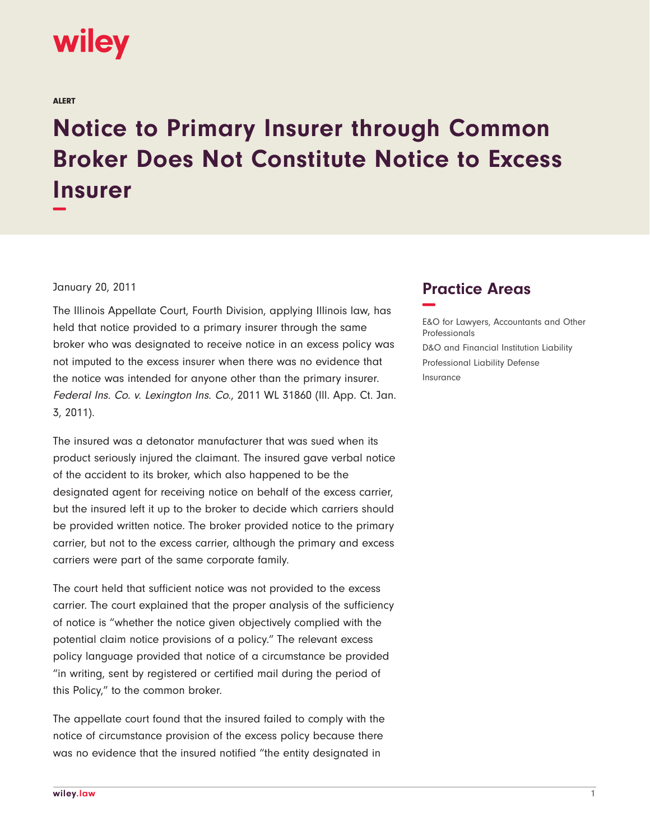

ALERT

## **Notice to Primary Insurer through Common Broker Does Not Constitute Notice to Excess Insurer −**

## January 20, 2011

The Illinois Appellate Court, Fourth Division, applying Illinois law, has held that notice provided to a primary insurer through the same broker who was designated to receive notice in an excess policy was not imputed to the excess insurer when there was no evidence that the notice was intended for anyone other than the primary insurer. Federal Ins. Co. v. Lexington Ins. Co., 2011 WL 31860 (Ill. App. Ct. Jan. 3, 2011).

The insured was a detonator manufacturer that was sued when its product seriously injured the claimant. The insured gave verbal notice of the accident to its broker, which also happened to be the designated agent for receiving notice on behalf of the excess carrier, but the insured left it up to the broker to decide which carriers should be provided written notice. The broker provided notice to the primary carrier, but not to the excess carrier, although the primary and excess carriers were part of the same corporate family.

The court held that sufficient notice was not provided to the excess carrier. The court explained that the proper analysis of the sufficiency of notice is "whether the notice given objectively complied with the potential claim notice provisions of a policy." The relevant excess policy language provided that notice of a circumstance be provided "in writing, sent by registered or certified mail during the period of this Policy," to the common broker.

The appellate court found that the insured failed to comply with the notice of circumstance provision of the excess policy because there was no evidence that the insured notified "the entity designated in

## **Practice Areas −**

E&O for Lawyers, Accountants and Other Professionals D&O and Financial Institution Liability Professional Liability Defense Insurance